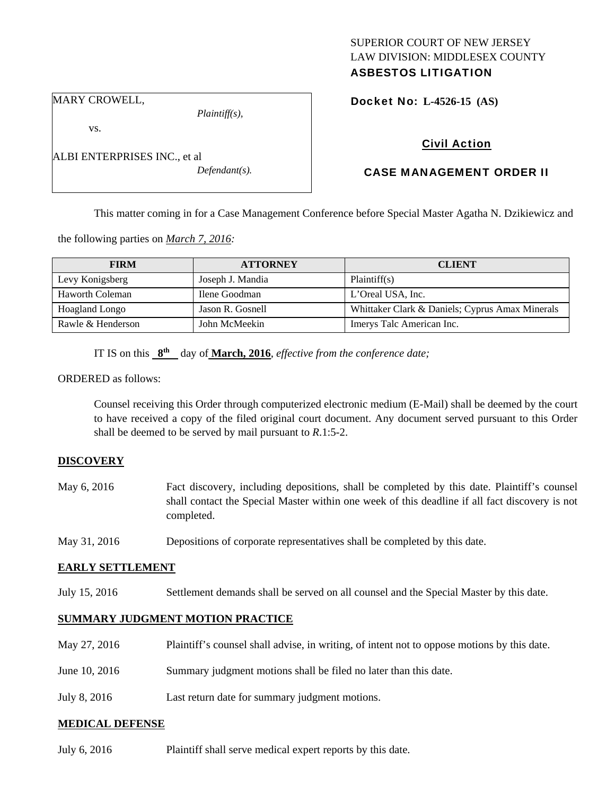# SUPERIOR COURT OF NEW JERSEY LAW DIVISION: MIDDLESEX COUNTY ASBESTOS LITIGATION

MARY CROWELL,

vs.

ALBI ENTERPRISES INC., et al *Defendant(s).* 

*Plaintiff(s),* 

Docket No: **L-4526-15 (AS)** 

# Civil Action

# CASE MANAGEMENT ORDER II

This matter coming in for a Case Management Conference before Special Master Agatha N. Dzikiewicz and

the following parties on *March 7, 2016:* 

| <b>FIRM</b>           | <b>ATTORNEY</b>  | <b>CLIENT</b>                                   |
|-----------------------|------------------|-------------------------------------------------|
| Levy Konigsberg       | Joseph J. Mandia | Plaintiff(s)                                    |
| Haworth Coleman       | Ilene Goodman    | L'Oreal USA, Inc.                               |
| <b>Hoagland Longo</b> | Jason R. Gosnell | Whittaker Clark & Daniels; Cyprus Amax Minerals |
| Rawle & Henderson     | John McMeekin    | Imerys Talc American Inc.                       |

IT IS on this  $8<sup>th</sup>$  day of **March, 2016**, *effective from the conference date*;

ORDERED as follows:

Counsel receiving this Order through computerized electronic medium (E-Mail) shall be deemed by the court to have received a copy of the filed original court document. Any document served pursuant to this Order shall be deemed to be served by mail pursuant to *R*.1:5-2.

# **DISCOVERY**

- May 6, 2016 Fact discovery, including depositions, shall be completed by this date. Plaintiff's counsel shall contact the Special Master within one week of this deadline if all fact discovery is not completed.
- May 31, 2016 Depositions of corporate representatives shall be completed by this date.

#### **EARLY SETTLEMENT**

July 15, 2016 Settlement demands shall be served on all counsel and the Special Master by this date.

# **SUMMARY JUDGMENT MOTION PRACTICE**

| May 27, 2016  | Plaintiff's counsel shall advise, in writing, of intent not to oppose motions by this date. |
|---------------|---------------------------------------------------------------------------------------------|
| June 10, 2016 | Summary judgment motions shall be filed no later than this date.                            |
| July 8, 2016  | Last return date for summary judgment motions.                                              |

#### **MEDICAL DEFENSE**

July 6, 2016 Plaintiff shall serve medical expert reports by this date.